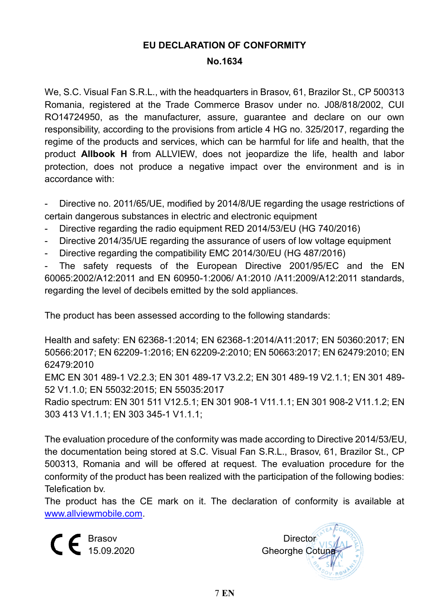## **EU DECLARATION OF CONFORMITY**

#### **No.1634**

We, S.C. Visual Fan S.R.L., with the headquarters in Brasov, 61, Brazilor St., CP 500313 Romania, registered at the Trade Commerce Brasov under no. J08/818/2002, CUI RO14724950, as the manufacturer, assure, guarantee and declare on our own responsibility, according to the provisions from article 4 HG no. 325/2017, regarding the regime of the products and services, which can be harmful for life and health, that the product **Allbook H** from ALLVIEW, does not jeopardize the life, health and labor protection, does not produce a negative impact over the environment and is in accordance with:

- Directive no. 2011/65/UE, modified by 2014/8/UE regarding the usage restrictions of certain dangerous substances in electric and electronic equipment

- Directive regarding the radio equipment RED 2014/53/EU (HG 740/2016)
- Directive 2014/35/UE regarding the assurance of users of low voltage equipment
- Directive regarding the compatibility EMC 2014/30/EU (HG 487/2016)

The safety requests of the European Directive 2001/95/EC and the EN 60065:2002/A12:2011 and EN 60950-1:2006/ A1:2010 /A11:2009/A12:2011 standards, regarding the level of decibels emitted by the sold appliances.

The product has been assessed according to the following standards:

Health and safety: EN 62368-1:2014; EN 62368-1:2014/A11:2017; EN 50360:2017; EN 50566:2017; EN 62209-1:2016; EN 62209-2:2010; EN 50663:2017; EN 62479:2010; EN 62479:2010

EMC EN 301 489-1 V2.2.3; EN 301 489-17 V3.2.2; EN 301 489-19 V2.1.1; EN 301 489- 52 V1.1.0; EN 55032:2015; EN 55035:2017

Radio spectrum: EN 301 511 V12.5.1; EN 301 908-1 V11.1.1; EN 301 908-2 V11.1.2; EN 303 413 V1.1.1; EN 303 345-1 V1.1.1;

The evaluation procedure of the conformity was made according to Directive 2014/53/EU, the documentation being stored at S.C. Visual Fan S.R.L., Brasov, 61, Brazilor St., CP 500313, Romania and will be offered at request. The evaluation procedure for the conformity of the product has been realized with the participation of the following bodies: Telefication bv.

The product has the CE mark on it. The declaration of conformity is available at [www.allviewmobile.com.](http://www.allviewmobile.com/)

 $\mathsf{C}\in \mathbb{B}^{\text{Basov}}$  Director

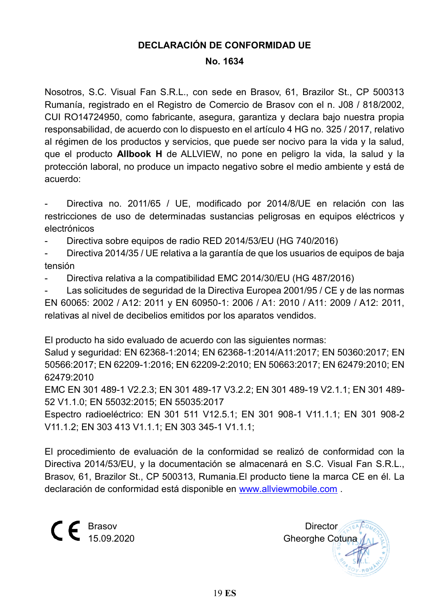## **DECLARACIÓN DE CONFORMIDAD UE**

#### **No. 1634**

Nosotros, S.C. Visual Fan S.R.L., con sede en Brasov, 61, Brazilor St., CP 500313 Rumanía, registrado en el Registro de Comercio de Brasov con el n. J08 / 818/2002, CUI RO14724950, como fabricante, asegura, garantiza y declara bajo nuestra propia responsabilidad, de acuerdo con lo dispuesto en el artículo 4 HG no. 325 / 2017, relativo al régimen de los productos y servicios, que puede ser nocivo para la vida y la salud, que el producto **Allbook H** de ALLVIEW, no pone en peligro la vida, la salud y la protección laboral, no produce un impacto negativo sobre el medio ambiente y está de acuerdo:

- Directiva no. 2011/65 / UE, modificado por 2014/8/UE en relación con las restricciones de uso de determinadas sustancias peligrosas en equipos eléctricos y electrónicos

- Directiva sobre equipos de radio RED 2014/53/EU (HG 740/2016)

- Directiva 2014/35 / UE relativa a la garantía de que los usuarios de equipos de baja tensión

- Directiva relativa a la compatibilidad EMC 2014/30/EU (HG 487/2016)

Las solicitudes de seguridad de la Directiva Europea 2001/95 / CE y de las normas EN 60065: 2002 / A12: 2011 y EN 60950-1: 2006 / A1: 2010 / A11: 2009 / A12: 2011, relativas al nivel de decibelios emitidos por los aparatos vendidos.

El producto ha sido evaluado de acuerdo con las siguientes normas:

Salud y seguridad: EN 62368-1:2014; EN 62368-1:2014/A11:2017; EN 50360:2017; EN 50566:2017; EN 62209-1:2016; EN 62209-2:2010; EN 50663:2017; EN 62479:2010; EN 62479:2010

EMC EN 301 489-1 V2.2.3; EN 301 489-17 V3.2.2; EN 301 489-19 V2.1.1; EN 301 489- 52 V1.1.0; EN 55032:2015; EN 55035:2017

Espectro radioeléctrico: EN 301 511 V12.5.1; EN 301 908-1 V11.1.1; EN 301 908-2 V11.1.2; EN 303 413 V1.1.1; EN 303 345-1 V1.1.1;

El procedimiento de evaluación de la conformidad se realizó de conformidad con la Directiva 2014/53/EU, y la documentación se almacenará en S.C. Visual Fan S.R.L., Brasov, 61, Brazilor St., CP 500313, Rumania.El producto tiene la marca CE en él. La declaración de conformidad está disponible en [www.allviewmobile.com](http://www.allviewmobile.com/) .

 $\mathsf{C}\,\mathsf{E}$  Brasov Director Director